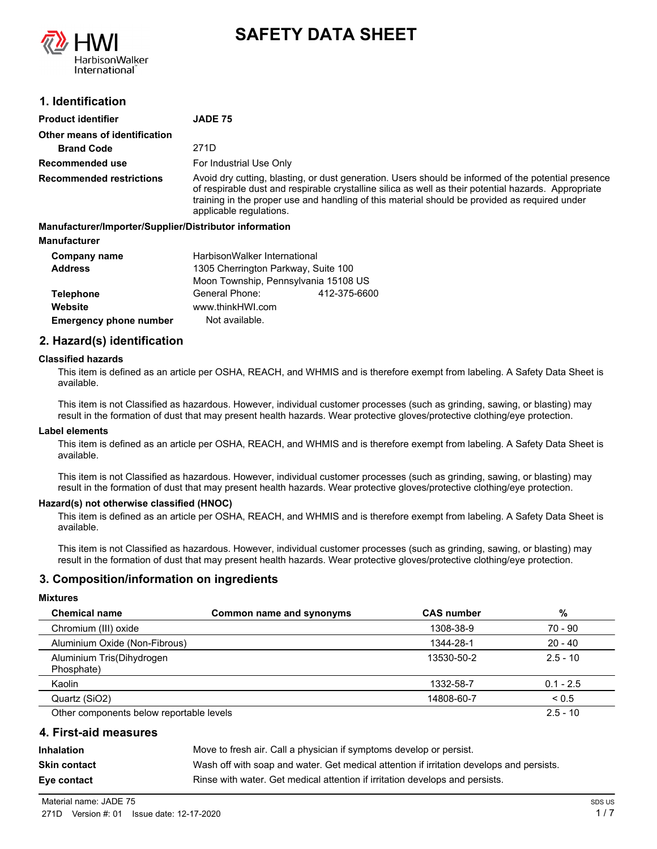

# **SAFETY DATA SHEET**

# **1. Identification**

| <b>Product identifier</b>                              | <b>JADE 75</b>                                                                                                                                                                                                                                                                                                                          |
|--------------------------------------------------------|-----------------------------------------------------------------------------------------------------------------------------------------------------------------------------------------------------------------------------------------------------------------------------------------------------------------------------------------|
| Other means of identification                          |                                                                                                                                                                                                                                                                                                                                         |
| <b>Brand Code</b>                                      | 271D                                                                                                                                                                                                                                                                                                                                    |
| Recommended use                                        | For Industrial Use Only                                                                                                                                                                                                                                                                                                                 |
| <b>Recommended restrictions</b>                        | Avoid dry cutting, blasting, or dust generation. Users should be informed of the potential presence<br>of respirable dust and respirable crystalline silica as well as their potential hazards. Appropriate<br>training in the proper use and handling of this material should be provided as required under<br>applicable regulations. |
| Manufacturer/Importer/Supplier/Distributor information |                                                                                                                                                                                                                                                                                                                                         |
| <b>Manufacturer</b>                                    |                                                                                                                                                                                                                                                                                                                                         |
| Company name                                           | HarbisonWalker International                                                                                                                                                                                                                                                                                                            |

| Company name                  | HarbisonWalker International         |              |  |
|-------------------------------|--------------------------------------|--------------|--|
| <b>Address</b>                | 1305 Cherrington Parkway, Suite 100  |              |  |
|                               | Moon Township, Pennsylvania 15108 US |              |  |
| <b>Telephone</b>              | General Phone:                       | 412-375-6600 |  |
| Website                       | www.thinkHWI.com                     |              |  |
| <b>Emergency phone number</b> | Not available.                       |              |  |

# **2. Hazard(s) identification**

#### **Classified hazards**

This item is defined as an article per OSHA, REACH, and WHMIS and is therefore exempt from labeling. A Safety Data Sheet is available.

This item is not Classified as hazardous. However, individual customer processes (such as grinding, sawing, or blasting) may result in the formation of dust that may present health hazards. Wear protective gloves/protective clothing/eye protection.

#### **Label elements**

This item is defined as an article per OSHA, REACH, and WHMIS and is therefore exempt from labeling. A Safety Data Sheet is available.

This item is not Classified as hazardous. However, individual customer processes (such as grinding, sawing, or blasting) may result in the formation of dust that may present health hazards. Wear protective gloves/protective clothing/eye protection.

#### **Hazard(s) not otherwise classified (HNOC)**

This item is defined as an article per OSHA, REACH, and WHMIS and is therefore exempt from labeling. A Safety Data Sheet is available.

This item is not Classified as hazardous. However, individual customer processes (such as grinding, sawing, or blasting) may result in the formation of dust that may present health hazards. Wear protective gloves/protective clothing/eye protection.

#### **3. Composition/information on ingredients**

#### **Mixtures**

| <b>Chemical name</b>                     | Common name and synonyms | <b>CAS number</b> | %           |
|------------------------------------------|--------------------------|-------------------|-------------|
| Chromium (III) oxide                     |                          | 1308-38-9         | 70 - 90     |
| Aluminium Oxide (Non-Fibrous)            |                          | 1344-28-1         | $20 - 40$   |
| Aluminium Tris(Dihydrogen<br>Phosphate)  |                          | 13530-50-2        | $2.5 - 10$  |
| Kaolin                                   |                          | 1332-58-7         | $0.1 - 2.5$ |
| Quartz (SiO2)                            |                          | 14808-60-7        | ${}_{0.5}$  |
| Other components below reportable levels |                          |                   | $2.5 - 10$  |

#### **4. First-aid measures**

**Inhalation** Move to fresh air. Call a physician if symptoms develop or persist. **Skin contact** Wash off with soap and water. Get medical attention if irritation develops and persists. **Eye contact Rinse with water. Get medical attention if irritation develops and persists.**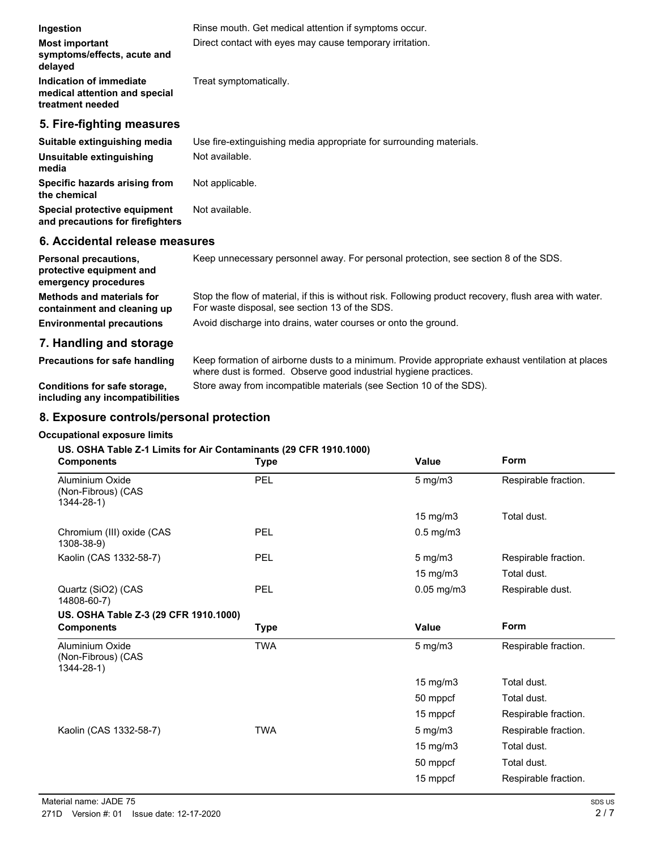| Ingestion                                                                        | Rinse mouth. Get medical attention if symptoms occur.                                                                                                    |
|----------------------------------------------------------------------------------|----------------------------------------------------------------------------------------------------------------------------------------------------------|
| <b>Most important</b><br>symptoms/effects, acute and<br>delayed                  | Direct contact with eyes may cause temporary irritation.                                                                                                 |
| Indication of immediate<br>medical attention and special<br>treatment needed     | Treat symptomatically.                                                                                                                                   |
| 5. Fire-fighting measures                                                        |                                                                                                                                                          |
| Suitable extinguishing media                                                     | Use fire-extinguishing media appropriate for surrounding materials.                                                                                      |
| Unsuitable extinguishing<br>media                                                | Not available.                                                                                                                                           |
| Specific hazards arising from<br>the chemical                                    | Not applicable.                                                                                                                                          |
| Special protective equipment<br>and precautions for firefighters                 | Not available.                                                                                                                                           |
| 6. Accidental release measures                                                   |                                                                                                                                                          |
| <b>Personal precautions,</b><br>protective equipment and<br>emergency procedures | Keep unnecessary personnel away. For personal protection, see section 8 of the SDS.                                                                      |
| <b>Methods and materials for</b><br>containment and cleaning up                  | Stop the flow of material, if this is without risk. Following product recovery, flush area with water.<br>For waste disposal, see section 13 of the SDS. |
| <b>Environmental precautions</b>                                                 | Avoid discharge into drains, water courses or onto the ground.                                                                                           |
| 7. Handling and storage                                                          |                                                                                                                                                          |

Keep formation of airborne dusts to a minimum. Provide appropriate exhaust ventilation at places where dust is formed. Observe good industrial hygiene practices. **Precautions for safe handling**

**Conditions for safe storage,** Store away from incompatible materials (see Section 10 of the SDS). **including any incompatibilities**

# **8. Exposure controls/personal protection**

#### **Occupational exposure limits**

# **US. OSHA Table Z-1 Limits for Air Contaminants (29 CFR 1910.1000)**

| <b>Components</b>                                        | <b>Type</b> | <b>Value</b>      | Form                 |
|----------------------------------------------------------|-------------|-------------------|----------------------|
| Aluminium Oxide<br>(Non-Fibrous) (CAS<br>$1344 - 28 - 1$ | PEL         | 5 mg/m3           | Respirable fraction. |
|                                                          |             | 15 mg/m3          | Total dust.          |
| Chromium (III) oxide (CAS<br>1308-38-9)                  | PEL         | $0.5$ mg/m $3$    |                      |
| Kaolin (CAS 1332-58-7)                                   | PEL         | $5$ mg/m $3$      | Respirable fraction. |
|                                                          |             | $15 \text{ mg/m}$ | Total dust.          |
| Quartz (SiO2) (CAS<br>14808-60-7)                        | PEL         | 0.05 mg/m3        | Respirable dust.     |
| US. OSHA Table Z-3 (29 CFR 1910.1000)                    |             |                   |                      |
| <b>Components</b>                                        | <b>Type</b> | <b>Value</b>      | Form                 |
| Aluminium Oxide<br>(Non-Fibrous) (CAS<br>$1344 - 28 - 1$ | <b>TWA</b>  | $5$ mg/m $3$      | Respirable fraction. |
|                                                          |             | 15 mg/m3          | Total dust.          |
|                                                          |             | 50 mppcf          | Total dust.          |
|                                                          |             | 15 mppcf          | Respirable fraction. |
| Kaolin (CAS 1332-58-7)                                   | <b>TWA</b>  | $5$ mg/m $3$      | Respirable fraction. |
|                                                          |             | 15 mg/m3          | Total dust.          |
|                                                          |             | 50 mppcf          | Total dust.          |
|                                                          |             | 15 mppcf          | Respirable fraction. |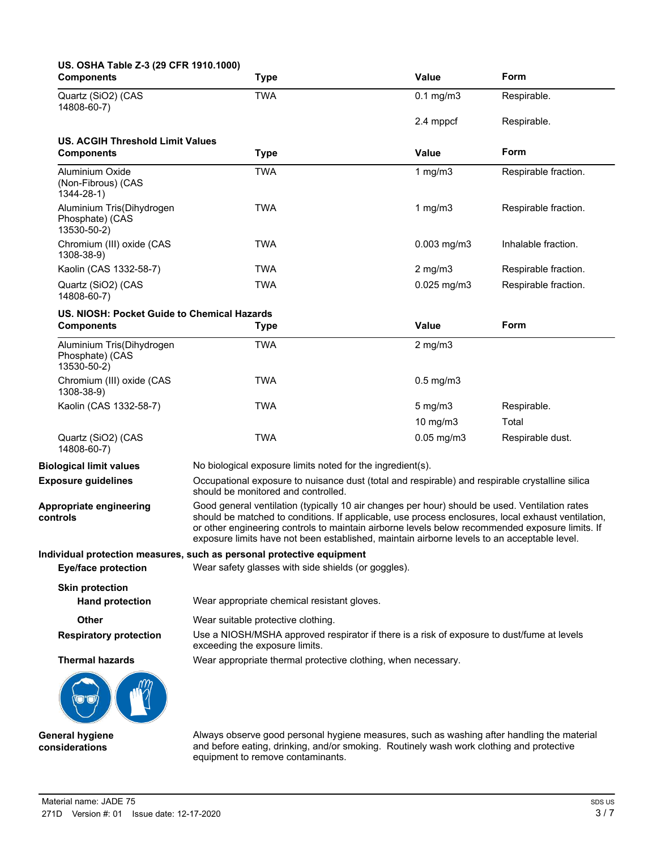| US. OSHA Table Z-3 (29 CFR 1910.1000)<br><b>Components</b>  | <b>Type</b>                                                                                                                                                                                                                                                                                                                                                                                            | <b>Value</b>     | Form                 |
|-------------------------------------------------------------|--------------------------------------------------------------------------------------------------------------------------------------------------------------------------------------------------------------------------------------------------------------------------------------------------------------------------------------------------------------------------------------------------------|------------------|----------------------|
| Quartz (SiO2) (CAS<br>14808-60-7)                           | <b>TWA</b>                                                                                                                                                                                                                                                                                                                                                                                             | $0.1$ mg/m $3$   | Respirable.          |
|                                                             |                                                                                                                                                                                                                                                                                                                                                                                                        | 2.4 mppcf        | Respirable.          |
| <b>US. ACGIH Threshold Limit Values</b>                     |                                                                                                                                                                                                                                                                                                                                                                                                        |                  |                      |
| <b>Components</b>                                           | <b>Type</b>                                                                                                                                                                                                                                                                                                                                                                                            | <b>Value</b>     | Form                 |
| Aluminium Oxide<br>(Non-Fibrous) (CAS<br>$1344 - 28 - 1$    | <b>TWA</b>                                                                                                                                                                                                                                                                                                                                                                                             | 1 $mg/m3$        | Respirable fraction. |
| Aluminium Tris(Dihydrogen<br>Phosphate) (CAS<br>13530-50-2) | <b>TWA</b>                                                                                                                                                                                                                                                                                                                                                                                             | 1 mg/m $3$       | Respirable fraction. |
| Chromium (III) oxide (CAS<br>1308-38-9)                     | <b>TWA</b>                                                                                                                                                                                                                                                                                                                                                                                             | $0.003$ mg/m $3$ | Inhalable fraction.  |
| Kaolin (CAS 1332-58-7)                                      | TWA                                                                                                                                                                                                                                                                                                                                                                                                    | $2$ mg/m $3$     | Respirable fraction. |
| Quartz (SiO2) (CAS<br>14808-60-7)                           | <b>TWA</b>                                                                                                                                                                                                                                                                                                                                                                                             | $0.025$ mg/m $3$ | Respirable fraction. |
| US. NIOSH: Pocket Guide to Chemical Hazards                 |                                                                                                                                                                                                                                                                                                                                                                                                        |                  |                      |
| <b>Components</b>                                           | <b>Type</b>                                                                                                                                                                                                                                                                                                                                                                                            | <b>Value</b>     | Form                 |
| Aluminium Tris(Dihydrogen<br>Phosphate) (CAS<br>13530-50-2) | <b>TWA</b>                                                                                                                                                                                                                                                                                                                                                                                             | $2$ mg/m $3$     |                      |
| Chromium (III) oxide (CAS<br>1308-38-9)                     | <b>TWA</b>                                                                                                                                                                                                                                                                                                                                                                                             | $0.5$ mg/m $3$   |                      |
| Kaolin (CAS 1332-58-7)                                      | <b>TWA</b>                                                                                                                                                                                                                                                                                                                                                                                             | $5 \text{ mg/m}$ | Respirable.          |
|                                                             |                                                                                                                                                                                                                                                                                                                                                                                                        | 10 mg/m3         | Total                |
| Quartz (SiO2) (CAS<br>14808-60-7)                           | <b>TWA</b>                                                                                                                                                                                                                                                                                                                                                                                             | $0.05$ mg/m $3$  | Respirable dust.     |
| <b>Biological limit values</b>                              | No biological exposure limits noted for the ingredient(s).                                                                                                                                                                                                                                                                                                                                             |                  |                      |
| <b>Exposure guidelines</b>                                  | Occupational exposure to nuisance dust (total and respirable) and respirable crystalline silica<br>should be monitored and controlled.                                                                                                                                                                                                                                                                 |                  |                      |
| Appropriate engineering<br>controls                         | Good general ventilation (typically 10 air changes per hour) should be used. Ventilation rates<br>should be matched to conditions. If applicable, use process enclosures, local exhaust ventilation,<br>or other engineering controls to maintain airborne levels below recommended exposure limits. If<br>exposure limits have not been established, maintain airborne levels to an acceptable level. |                  |                      |
|                                                             | Individual protection measures, such as personal protective equipment                                                                                                                                                                                                                                                                                                                                  |                  |                      |
| <b>Eye/face protection</b>                                  | Wear safety glasses with side shields (or goggles).                                                                                                                                                                                                                                                                                                                                                    |                  |                      |
| <b>Skin protection</b><br><b>Hand protection</b>            | Wear appropriate chemical resistant gloves.                                                                                                                                                                                                                                                                                                                                                            |                  |                      |
| <b>Other</b>                                                | Wear suitable protective clothing.                                                                                                                                                                                                                                                                                                                                                                     |                  |                      |
| <b>Respiratory protection</b>                               | Use a NIOSH/MSHA approved respirator if there is a risk of exposure to dust/fume at levels<br>exceeding the exposure limits.                                                                                                                                                                                                                                                                           |                  |                      |
| <b>Thermal hazards</b>                                      | Wear appropriate thermal protective clothing, when necessary.                                                                                                                                                                                                                                                                                                                                          |                  |                      |
|                                                             |                                                                                                                                                                                                                                                                                                                                                                                                        |                  |                      |
| General hygiene                                             | Always observe good personal hygiene measures, such as washing after handling the material                                                                                                                                                                                                                                                                                                             |                  |                      |

and before eating, drinking, and/or smoking. Routinely wash work clothing and protective

equipment to remove contaminants.

Material name: JADE 75 271D Version #: 01 Issue date: 12-17-2020

**considerations**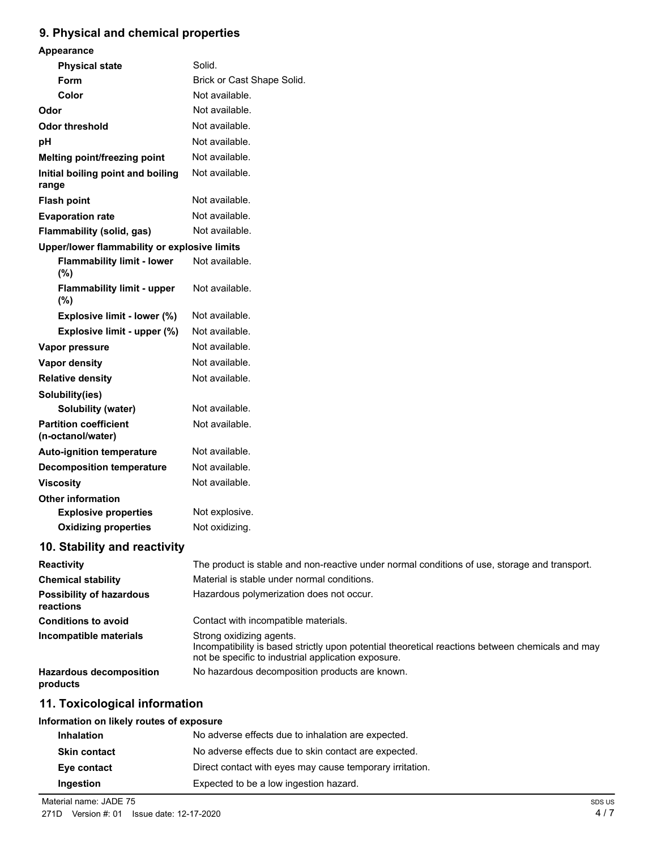# **9. Physical and chemical properties**

| Appearance                                        |                                                                                                                                                                                     |
|---------------------------------------------------|-------------------------------------------------------------------------------------------------------------------------------------------------------------------------------------|
| <b>Physical state</b>                             | Solid.                                                                                                                                                                              |
| Form                                              | Brick or Cast Shape Solid.                                                                                                                                                          |
| Color                                             | Not available.                                                                                                                                                                      |
| Odor                                              | Not available.                                                                                                                                                                      |
| <b>Odor threshold</b>                             | Not available.                                                                                                                                                                      |
| pH                                                | Not available.                                                                                                                                                                      |
| Melting point/freezing point                      | Not available.                                                                                                                                                                      |
| Initial boiling point and boiling<br>range        | Not available.                                                                                                                                                                      |
| <b>Flash point</b>                                | Not available.                                                                                                                                                                      |
| <b>Evaporation rate</b>                           | Not available.                                                                                                                                                                      |
| Flammability (solid, gas)                         | Not available.                                                                                                                                                                      |
| Upper/lower flammability or explosive limits      |                                                                                                                                                                                     |
| <b>Flammability limit - lower</b><br>(%)          | Not available.                                                                                                                                                                      |
| <b>Flammability limit - upper</b><br>(%)          | Not available.                                                                                                                                                                      |
| Explosive limit - lower (%)                       | Not available.                                                                                                                                                                      |
| Explosive limit - upper (%)                       | Not available.                                                                                                                                                                      |
| Vapor pressure                                    | Not available.                                                                                                                                                                      |
| Vapor density                                     | Not available.                                                                                                                                                                      |
| <b>Relative density</b>                           | Not available.                                                                                                                                                                      |
| Solubility(ies)                                   |                                                                                                                                                                                     |
| <b>Solubility (water)</b>                         | Not available.                                                                                                                                                                      |
| <b>Partition coefficient</b><br>(n-octanol/water) | Not available.                                                                                                                                                                      |
| <b>Auto-ignition temperature</b>                  | Not available.                                                                                                                                                                      |
| <b>Decomposition temperature</b>                  | Not available.                                                                                                                                                                      |
| <b>Viscosity</b>                                  | Not available.                                                                                                                                                                      |
| <b>Other information</b>                          |                                                                                                                                                                                     |
| <b>Explosive properties</b>                       | Not explosive.                                                                                                                                                                      |
| <b>Oxidizing properties</b>                       | Not oxidizing.                                                                                                                                                                      |
| 10. Stability and reactivity                      |                                                                                                                                                                                     |
| <b>Reactivity</b>                                 | The product is stable and non-reactive under normal conditions of use, storage and transport.                                                                                       |
| <b>Chemical stability</b>                         | Material is stable under normal conditions.                                                                                                                                         |
| <b>Possibility of hazardous</b><br>reactions      | Hazardous polymerization does not occur.                                                                                                                                            |
| <b>Conditions to avoid</b>                        | Contact with incompatible materials.                                                                                                                                                |
| Incompatible materials                            | Strong oxidizing agents.<br>Incompatibility is based strictly upon potential theoretical reactions between chemicals and may<br>not be specific to industrial application exposure. |
| <b>Hazardous decomposition</b><br>products        | No hazardous decomposition products are known.                                                                                                                                      |
| 11. Toxicological information                     |                                                                                                                                                                                     |
| Information on likely routes of exposure          |                                                                                                                                                                                     |

| <b>Inhalation</b>   | No adverse effects due to inhalation are expected.       |
|---------------------|----------------------------------------------------------|
| <b>Skin contact</b> | No adverse effects due to skin contact are expected.     |
| Eye contact         | Direct contact with eyes may cause temporary irritation. |
| Ingestion           | Expected to be a low ingestion hazard.                   |
|                     |                                                          |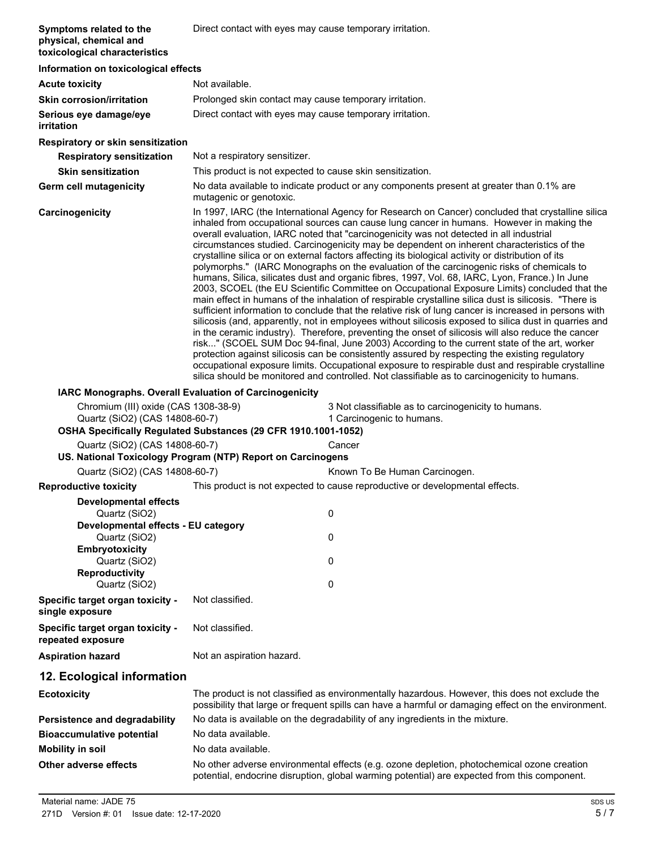| Symptoms related to the<br>physical, chemical and<br>toxicological characteristics | Direct contact with eyes may cause temporary irritation.                                                                                                                                                                                                                                                                                                                                                                                                                                                                                                                                                                                                                                                                                                                                                                                                                                                                                                                                                                                                                                                                                                                                                                                                                                                                                                                                                                                                                                                                                                                                                                           |                                                                                                                                                                                                       |  |  |
|------------------------------------------------------------------------------------|------------------------------------------------------------------------------------------------------------------------------------------------------------------------------------------------------------------------------------------------------------------------------------------------------------------------------------------------------------------------------------------------------------------------------------------------------------------------------------------------------------------------------------------------------------------------------------------------------------------------------------------------------------------------------------------------------------------------------------------------------------------------------------------------------------------------------------------------------------------------------------------------------------------------------------------------------------------------------------------------------------------------------------------------------------------------------------------------------------------------------------------------------------------------------------------------------------------------------------------------------------------------------------------------------------------------------------------------------------------------------------------------------------------------------------------------------------------------------------------------------------------------------------------------------------------------------------------------------------------------------------|-------------------------------------------------------------------------------------------------------------------------------------------------------------------------------------------------------|--|--|
|                                                                                    | Information on toxicological effects                                                                                                                                                                                                                                                                                                                                                                                                                                                                                                                                                                                                                                                                                                                                                                                                                                                                                                                                                                                                                                                                                                                                                                                                                                                                                                                                                                                                                                                                                                                                                                                               |                                                                                                                                                                                                       |  |  |
| <b>Acute toxicity</b>                                                              | Not available.                                                                                                                                                                                                                                                                                                                                                                                                                                                                                                                                                                                                                                                                                                                                                                                                                                                                                                                                                                                                                                                                                                                                                                                                                                                                                                                                                                                                                                                                                                                                                                                                                     |                                                                                                                                                                                                       |  |  |
| <b>Skin corrosion/irritation</b>                                                   | Prolonged skin contact may cause temporary irritation.                                                                                                                                                                                                                                                                                                                                                                                                                                                                                                                                                                                                                                                                                                                                                                                                                                                                                                                                                                                                                                                                                                                                                                                                                                                                                                                                                                                                                                                                                                                                                                             |                                                                                                                                                                                                       |  |  |
| Serious eye damage/eye<br>irritation                                               | Direct contact with eyes may cause temporary irritation.                                                                                                                                                                                                                                                                                                                                                                                                                                                                                                                                                                                                                                                                                                                                                                                                                                                                                                                                                                                                                                                                                                                                                                                                                                                                                                                                                                                                                                                                                                                                                                           |                                                                                                                                                                                                       |  |  |
| Respiratory or skin sensitization                                                  |                                                                                                                                                                                                                                                                                                                                                                                                                                                                                                                                                                                                                                                                                                                                                                                                                                                                                                                                                                                                                                                                                                                                                                                                                                                                                                                                                                                                                                                                                                                                                                                                                                    |                                                                                                                                                                                                       |  |  |
| <b>Respiratory sensitization</b>                                                   | Not a respiratory sensitizer.                                                                                                                                                                                                                                                                                                                                                                                                                                                                                                                                                                                                                                                                                                                                                                                                                                                                                                                                                                                                                                                                                                                                                                                                                                                                                                                                                                                                                                                                                                                                                                                                      |                                                                                                                                                                                                       |  |  |
| <b>Skin sensitization</b>                                                          | This product is not expected to cause skin sensitization.                                                                                                                                                                                                                                                                                                                                                                                                                                                                                                                                                                                                                                                                                                                                                                                                                                                                                                                                                                                                                                                                                                                                                                                                                                                                                                                                                                                                                                                                                                                                                                          |                                                                                                                                                                                                       |  |  |
| Germ cell mutagenicity                                                             | mutagenic or genotoxic.                                                                                                                                                                                                                                                                                                                                                                                                                                                                                                                                                                                                                                                                                                                                                                                                                                                                                                                                                                                                                                                                                                                                                                                                                                                                                                                                                                                                                                                                                                                                                                                                            | No data available to indicate product or any components present at greater than 0.1% are                                                                                                              |  |  |
| Carcinogenicity                                                                    | In 1997, IARC (the International Agency for Research on Cancer) concluded that crystalline silica<br>inhaled from occupational sources can cause lung cancer in humans. However in making the<br>overall evaluation, IARC noted that "carcinogenicity was not detected in all industrial<br>circumstances studied. Carcinogenicity may be dependent on inherent characteristics of the<br>crystalline silica or on external factors affecting its biological activity or distribution of its<br>polymorphs." (IARC Monographs on the evaluation of the carcinogenic risks of chemicals to<br>humans, Silica, silicates dust and organic fibres, 1997, Vol. 68, IARC, Lyon, France.) In June<br>2003, SCOEL (the EU Scientific Committee on Occupational Exposure Limits) concluded that the<br>main effect in humans of the inhalation of respirable crystalline silica dust is silicosis. "There is<br>sufficient information to conclude that the relative risk of lung cancer is increased in persons with<br>silicosis (and, apparently, not in employees without silicosis exposed to silica dust in quarries and<br>in the ceramic industry). Therefore, preventing the onset of silicosis will also reduce the cancer<br>risk" (SCOEL SUM Doc 94-final, June 2003) According to the current state of the art, worker<br>protection against silicosis can be consistently assured by respecting the existing regulatory<br>occupational exposure limits. Occupational exposure to respirable dust and respirable crystalline<br>silica should be monitored and controlled. Not classifiable as to carcinogenicity to humans. |                                                                                                                                                                                                       |  |  |
| IARC Monographs. Overall Evaluation of Carcinogenicity                             |                                                                                                                                                                                                                                                                                                                                                                                                                                                                                                                                                                                                                                                                                                                                                                                                                                                                                                                                                                                                                                                                                                                                                                                                                                                                                                                                                                                                                                                                                                                                                                                                                                    |                                                                                                                                                                                                       |  |  |
| Chromium (III) oxide (CAS 1308-38-9)<br>Quartz (SiO2) (CAS 14808-60-7)             | OSHA Specifically Regulated Substances (29 CFR 1910.1001-1052)                                                                                                                                                                                                                                                                                                                                                                                                                                                                                                                                                                                                                                                                                                                                                                                                                                                                                                                                                                                                                                                                                                                                                                                                                                                                                                                                                                                                                                                                                                                                                                     | 3 Not classifiable as to carcinogenicity to humans.<br>1 Carcinogenic to humans.                                                                                                                      |  |  |
| Quartz (SiO2) (CAS 14808-60-7)                                                     |                                                                                                                                                                                                                                                                                                                                                                                                                                                                                                                                                                                                                                                                                                                                                                                                                                                                                                                                                                                                                                                                                                                                                                                                                                                                                                                                                                                                                                                                                                                                                                                                                                    | Cancer                                                                                                                                                                                                |  |  |
|                                                                                    | US. National Toxicology Program (NTP) Report on Carcinogens                                                                                                                                                                                                                                                                                                                                                                                                                                                                                                                                                                                                                                                                                                                                                                                                                                                                                                                                                                                                                                                                                                                                                                                                                                                                                                                                                                                                                                                                                                                                                                        |                                                                                                                                                                                                       |  |  |
| Quartz (SiO2) (CAS 14808-60-7)                                                     |                                                                                                                                                                                                                                                                                                                                                                                                                                                                                                                                                                                                                                                                                                                                                                                                                                                                                                                                                                                                                                                                                                                                                                                                                                                                                                                                                                                                                                                                                                                                                                                                                                    | Known To Be Human Carcinogen.                                                                                                                                                                         |  |  |
| <b>Reproductive toxicity</b>                                                       |                                                                                                                                                                                                                                                                                                                                                                                                                                                                                                                                                                                                                                                                                                                                                                                                                                                                                                                                                                                                                                                                                                                                                                                                                                                                                                                                                                                                                                                                                                                                                                                                                                    | This product is not expected to cause reproductive or developmental effects.                                                                                                                          |  |  |
| Developmental effects                                                              |                                                                                                                                                                                                                                                                                                                                                                                                                                                                                                                                                                                                                                                                                                                                                                                                                                                                                                                                                                                                                                                                                                                                                                                                                                                                                                                                                                                                                                                                                                                                                                                                                                    |                                                                                                                                                                                                       |  |  |
| Quartz (SiO2)                                                                      |                                                                                                                                                                                                                                                                                                                                                                                                                                                                                                                                                                                                                                                                                                                                                                                                                                                                                                                                                                                                                                                                                                                                                                                                                                                                                                                                                                                                                                                                                                                                                                                                                                    | 0                                                                                                                                                                                                     |  |  |
| Developmental effects - EU category                                                |                                                                                                                                                                                                                                                                                                                                                                                                                                                                                                                                                                                                                                                                                                                                                                                                                                                                                                                                                                                                                                                                                                                                                                                                                                                                                                                                                                                                                                                                                                                                                                                                                                    |                                                                                                                                                                                                       |  |  |
| Quartz (SiO2)<br>Embryotoxicity                                                    |                                                                                                                                                                                                                                                                                                                                                                                                                                                                                                                                                                                                                                                                                                                                                                                                                                                                                                                                                                                                                                                                                                                                                                                                                                                                                                                                                                                                                                                                                                                                                                                                                                    | 0                                                                                                                                                                                                     |  |  |
| Quartz (SiO2)<br><b>Reproductivity</b>                                             |                                                                                                                                                                                                                                                                                                                                                                                                                                                                                                                                                                                                                                                                                                                                                                                                                                                                                                                                                                                                                                                                                                                                                                                                                                                                                                                                                                                                                                                                                                                                                                                                                                    | 0                                                                                                                                                                                                     |  |  |
| Quartz (SiO2)                                                                      |                                                                                                                                                                                                                                                                                                                                                                                                                                                                                                                                                                                                                                                                                                                                                                                                                                                                                                                                                                                                                                                                                                                                                                                                                                                                                                                                                                                                                                                                                                                                                                                                                                    | 0                                                                                                                                                                                                     |  |  |
| Specific target organ toxicity -<br>single exposure                                | Not classified.                                                                                                                                                                                                                                                                                                                                                                                                                                                                                                                                                                                                                                                                                                                                                                                                                                                                                                                                                                                                                                                                                                                                                                                                                                                                                                                                                                                                                                                                                                                                                                                                                    |                                                                                                                                                                                                       |  |  |
| Specific target organ toxicity -<br>repeated exposure                              | Not classified.                                                                                                                                                                                                                                                                                                                                                                                                                                                                                                                                                                                                                                                                                                                                                                                                                                                                                                                                                                                                                                                                                                                                                                                                                                                                                                                                                                                                                                                                                                                                                                                                                    |                                                                                                                                                                                                       |  |  |
| <b>Aspiration hazard</b>                                                           | Not an aspiration hazard.                                                                                                                                                                                                                                                                                                                                                                                                                                                                                                                                                                                                                                                                                                                                                                                                                                                                                                                                                                                                                                                                                                                                                                                                                                                                                                                                                                                                                                                                                                                                                                                                          |                                                                                                                                                                                                       |  |  |
| 12. Ecological information                                                         |                                                                                                                                                                                                                                                                                                                                                                                                                                                                                                                                                                                                                                                                                                                                                                                                                                                                                                                                                                                                                                                                                                                                                                                                                                                                                                                                                                                                                                                                                                                                                                                                                                    |                                                                                                                                                                                                       |  |  |
| <b>Ecotoxicity</b>                                                                 |                                                                                                                                                                                                                                                                                                                                                                                                                                                                                                                                                                                                                                                                                                                                                                                                                                                                                                                                                                                                                                                                                                                                                                                                                                                                                                                                                                                                                                                                                                                                                                                                                                    | The product is not classified as environmentally hazardous. However, this does not exclude the<br>possibility that large or frequent spills can have a harmful or damaging effect on the environment. |  |  |
| <b>Persistence and degradability</b>                                               |                                                                                                                                                                                                                                                                                                                                                                                                                                                                                                                                                                                                                                                                                                                                                                                                                                                                                                                                                                                                                                                                                                                                                                                                                                                                                                                                                                                                                                                                                                                                                                                                                                    | No data is available on the degradability of any ingredients in the mixture.                                                                                                                          |  |  |
| <b>Bioaccumulative potential</b>                                                   | No data available.                                                                                                                                                                                                                                                                                                                                                                                                                                                                                                                                                                                                                                                                                                                                                                                                                                                                                                                                                                                                                                                                                                                                                                                                                                                                                                                                                                                                                                                                                                                                                                                                                 |                                                                                                                                                                                                       |  |  |
| <b>Mobility in soil</b>                                                            | No data available.                                                                                                                                                                                                                                                                                                                                                                                                                                                                                                                                                                                                                                                                                                                                                                                                                                                                                                                                                                                                                                                                                                                                                                                                                                                                                                                                                                                                                                                                                                                                                                                                                 |                                                                                                                                                                                                       |  |  |
| Other adverse effects                                                              |                                                                                                                                                                                                                                                                                                                                                                                                                                                                                                                                                                                                                                                                                                                                                                                                                                                                                                                                                                                                                                                                                                                                                                                                                                                                                                                                                                                                                                                                                                                                                                                                                                    | No other adverse environmental effects (e.g. ozone depletion, photochemical ozone creation<br>potential, endocrine disruption, global warming potential) are expected from this component.            |  |  |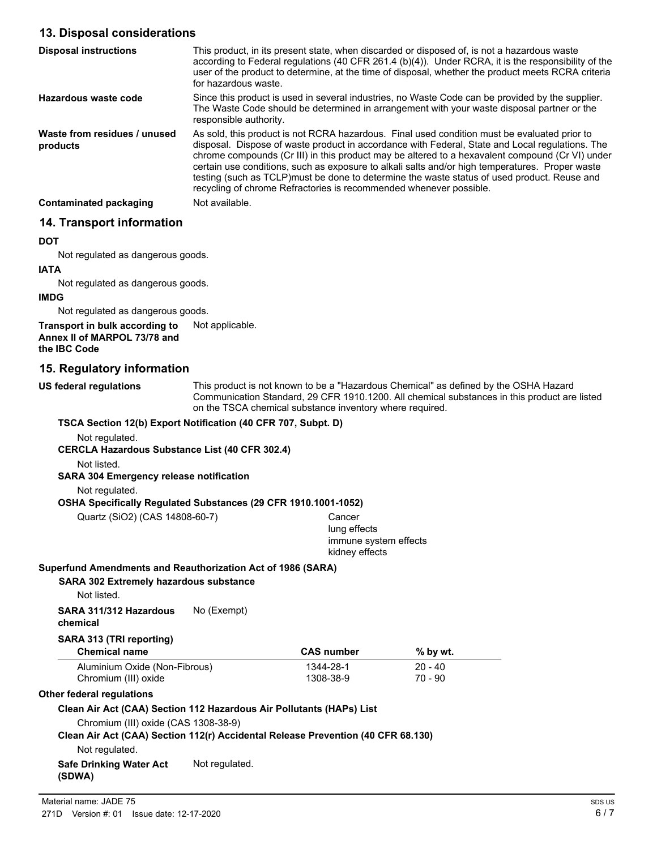# **13. Disposal considerations**

| <b>Disposal instructions</b>             | This product, in its present state, when discarded or disposed of, is not a hazardous waste<br>according to Federal regulations (40 CFR 261.4 (b)(4)). Under RCRA, it is the responsibility of the<br>user of the product to determine, at the time of disposal, whether the product meets RCRA criteria<br>for hazardous waste.                                                                                                                                                                                                                                           |
|------------------------------------------|----------------------------------------------------------------------------------------------------------------------------------------------------------------------------------------------------------------------------------------------------------------------------------------------------------------------------------------------------------------------------------------------------------------------------------------------------------------------------------------------------------------------------------------------------------------------------|
| Hazardous waste code                     | Since this product is used in several industries, no Waste Code can be provided by the supplier.<br>The Waste Code should be determined in arrangement with your waste disposal partner or the<br>responsible authority.                                                                                                                                                                                                                                                                                                                                                   |
| Waste from residues / unused<br>products | As sold, this product is not RCRA hazardous. Final used condition must be evaluated prior to<br>disposal. Dispose of waste product in accordance with Federal, State and Local regulations. The<br>chrome compounds (Cr III) in this product may be altered to a hexavalent compound (Cr VI) under<br>certain use conditions, such as exposure to alkali salts and/or high temperatures. Proper waste<br>testing (such as TCLP)must be done to determine the waste status of used product. Reuse and<br>recycling of chrome Refractories is recommended whenever possible. |
| <b>Contaminated packaging</b>            | Not available.                                                                                                                                                                                                                                                                                                                                                                                                                                                                                                                                                             |

# **14. Transport information**

#### **DOT**

Not regulated as dangerous goods.

#### **IATA**

Not regulated as dangerous goods.

#### **IMDG**

Not regulated as dangerous goods.

#### **Transport in bulk according to** Not applicable. **Annex II of MARPOL 73/78 and the IBC Code**

# **15. Regulatory information**

**US federal regulations**

This product is not known to be a "Hazardous Chemical" as defined by the OSHA Hazard Communication Standard, 29 CFR 1910.1200. All chemical substances in this product are listed on the TSCA chemical substance inventory where required.

## **TSCA Section 12(b) Export Notification (40 CFR 707, Subpt. D)**

Not regulated.

#### **CERCLA Hazardous Substance List (40 CFR 302.4)**

Not listed.

#### **SARA 304 Emergency release notification**

Not regulated.

#### **OSHA Specifically Regulated Substances (29 CFR 1910.1001-1052)**

Quartz (SiO2) (CAS 14808-60-7) Cancer

lung effects immune system effects kidney effects

#### **Superfund Amendments and Reauthorization Act of 1986 (SARA)**

#### **SARA 302 Extremely hazardous substance**

Not listed.

**SARA 311/312 Hazardous** No (Exempt) **chemical**

# **SARA 313 (TRI reporting)**

| <b>Chemical name</b>          | <b>CAS number</b> | % by wt.  |  |
|-------------------------------|-------------------|-----------|--|
| Aluminium Oxide (Non-Fibrous) | 1344-28-1         | $20 - 40$ |  |
| Chromium (III) oxide          | 1308-38-9         | 70 - 90   |  |

#### **Other federal regulations**

#### **Clean Air Act (CAA) Section 112 Hazardous Air Pollutants (HAPs) List**

Chromium (III) oxide (CAS 1308-38-9)

**Clean Air Act (CAA) Section 112(r) Accidental Release Prevention (40 CFR 68.130)**

Not regulated.

#### **Safe Drinking Water Act** Not regulated. **(SDWA)**